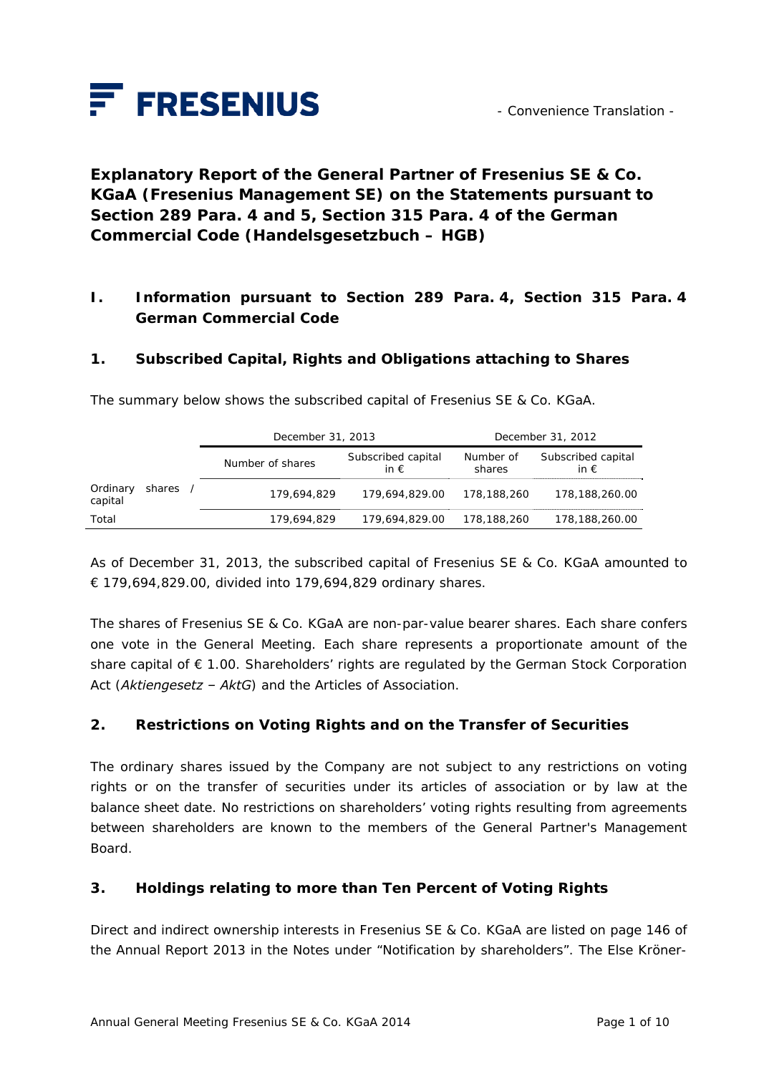

**Explanatory Report of the General Partner of Fresenius SE & Co. KGaA (Fresenius Management SE) on the Statements pursuant to Section 289 Para. 4 and 5, Section 315 Para. 4 of the German Commercial Code (***Handelsgesetzbuch – HGB***)** 

## **I. Information pursuant to Section 289 Para. 4, Section 315 Para. 4 German Commercial Code**

### **1. Subscribed Capital, Rights and Obligations attaching to Shares**

|                     |        | December 31, 2013 |                                     | December 31, 2012   |                                     |
|---------------------|--------|-------------------|-------------------------------------|---------------------|-------------------------------------|
|                     |        | Number of shares  | Subscribed capital<br>in $\epsilon$ | Number of<br>shares | Subscribed capital<br>in $\epsilon$ |
| Ordinary<br>capital | shares | 179,694,829       | 179.694.829.00                      | 178,188,260         | 178,188,260.00                      |
| Total               |        | 179,694,829       | 179.694.829.00                      | 178,188,260         | 178,188,260.00                      |

The summary below shows the subscribed capital of Fresenius SE & Co. KGaA.

As of December 31, 2013, the subscribed capital of Fresenius SE & Co. KGaA amounted to € 179,694,829.00, divided into 179,694,829 ordinary shares.

The shares of Fresenius SE & Co. KGaA are non-par-value bearer shares. Each share confers one vote in the General Meeting. Each share represents a proportionate amount of the share capital of € 1.00. Shareholders' rights are regulated by the German Stock Corporation Act (*Aktiengesetz – AktG*) and the Articles of Association.

### **2. Restrictions on Voting Rights and on the Transfer of Securities**

The ordinary shares issued by the Company are not subject to any restrictions on voting rights or on the transfer of securities under its articles of association or by law at the balance sheet date. No restrictions on shareholders' voting rights resulting from agreements between shareholders are known to the members of the General Partner's Management Board.

#### **3. Holdings relating to more than Ten Percent of Voting Rights**

Direct and indirect ownership interests in Fresenius SE & Co. KGaA are listed on page 146 of the Annual Report 2013 in the Notes under "Notification by shareholders". The Else Kröner-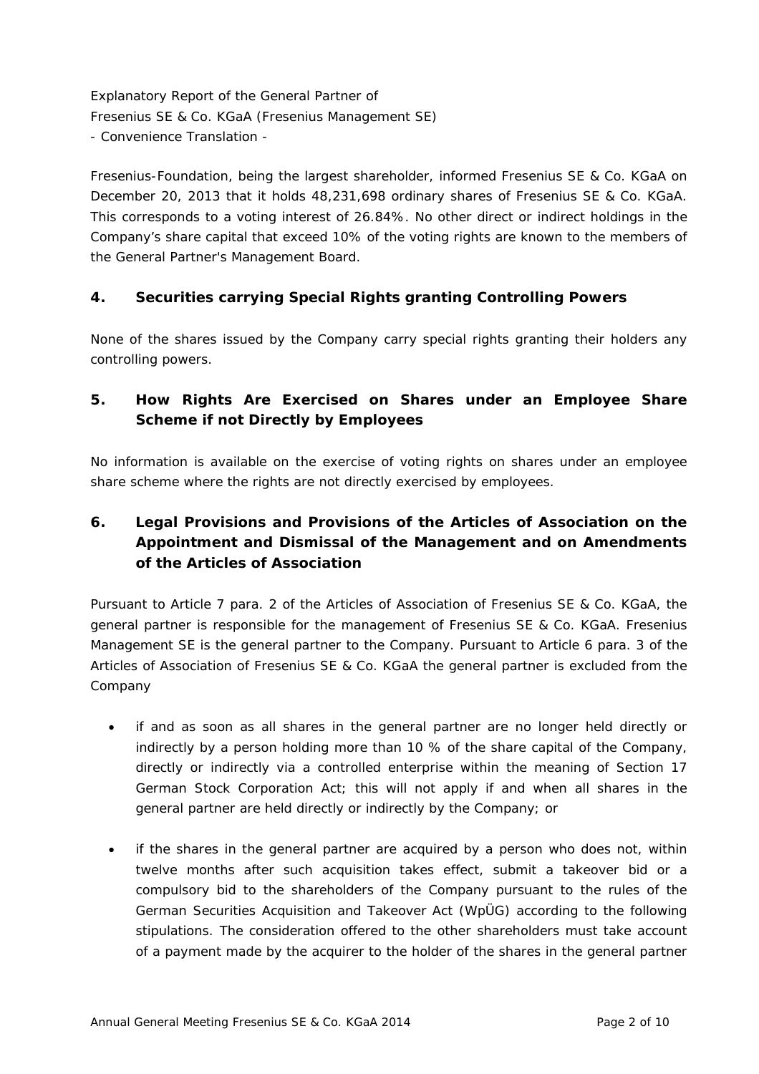Fresenius-Foundation, being the largest shareholder, informed Fresenius SE & Co. KGaA on December 20, 2013 that it holds 48,231,698 ordinary shares of Fresenius SE & Co. KGaA. This corresponds to a voting interest of 26.84%. No other direct or indirect holdings in the Company's share capital that exceed 10% of the voting rights are known to the members of the General Partner's Management Board.

## **4. Securities carrying Special Rights granting Controlling Powers**

None of the shares issued by the Company carry special rights granting their holders any controlling powers.

# **5. How Rights Are Exercised on Shares under an Employee Share Scheme if not Directly by Employees**

No information is available on the exercise of voting rights on shares under an employee share scheme where the rights are not directly exercised by employees.

# **6. Legal Provisions and Provisions of the Articles of Association on the Appointment and Dismissal of the Management and on Amendments of the Articles of Association**

Pursuant to Article 7 para. 2 of the Articles of Association of Fresenius SE & Co. KGaA, the general partner is responsible for the management of Fresenius SE & Co. KGaA. Fresenius Management SE is the general partner to the Company. Pursuant to Article 6 para. 3 of the Articles of Association of Fresenius SE & Co. KGaA the general partner is excluded from the Company

- if and as soon as all shares in the general partner are no longer held directly or indirectly by a person holding more than 10 % of the share capital of the Company, directly or indirectly via a controlled enterprise within the meaning of Section 17 German Stock Corporation Act; this will not apply if and when all shares in the general partner are held directly or indirectly by the Company; or
- if the shares in the general partner are acquired by a person who does not, within twelve months after such acquisition takes effect, submit a takeover bid or a compulsory bid to the shareholders of the Company pursuant to the rules of the German Securities Acquisition and Takeover Act (WpÜG) according to the following stipulations. The consideration offered to the other shareholders must take account of a payment made by the acquirer to the holder of the shares in the general partner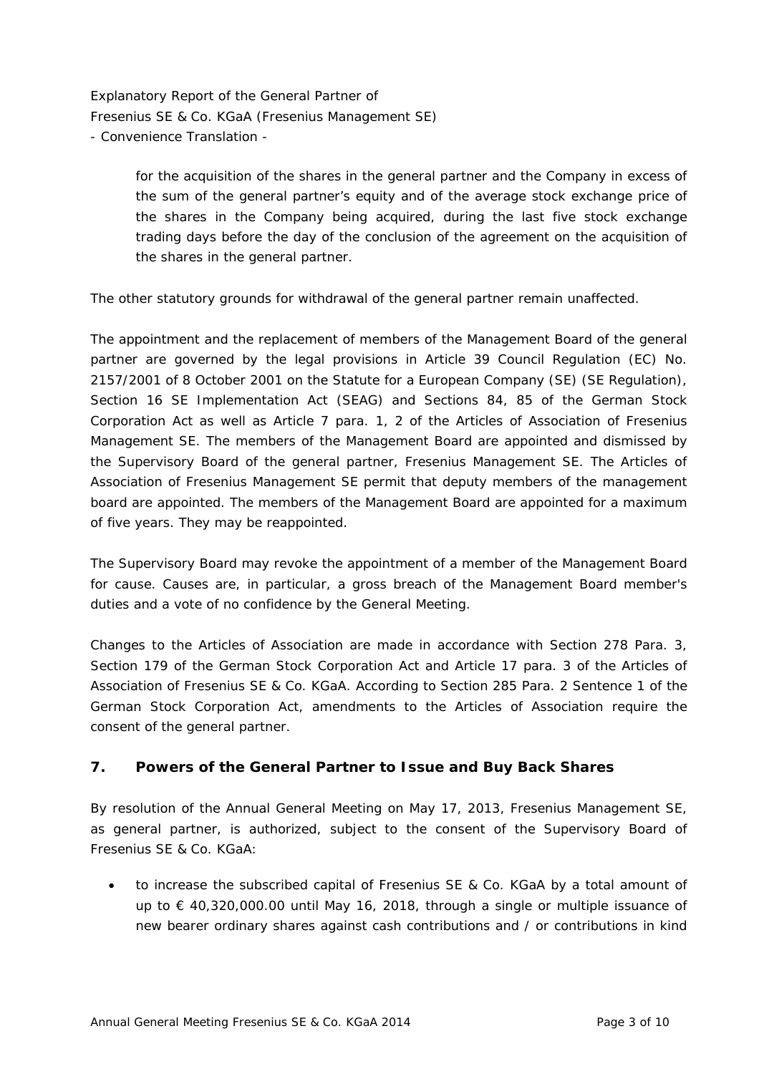> for the acquisition of the shares in the general partner and the Company in excess of the sum of the general partner's equity and of the average stock exchange price of the shares in the Company being acquired, during the last five stock exchange trading days before the day of the conclusion of the agreement on the acquisition of the shares in the general partner.

The other statutory grounds for withdrawal of the general partner remain unaffected.

The appointment and the replacement of members of the Management Board of the general partner are governed by the legal provisions in Article 39 Council Regulation (EC) No. 2157/2001 of 8 October 2001 on the Statute for a European Company (SE) (SE Regulation), Section 16 SE Implementation Act (SEAG) and Sections 84, 85 of the German Stock Corporation Act as well as Article 7 para. 1, 2 of the Articles of Association of Fresenius Management SE. The members of the Management Board are appointed and dismissed by the Supervisory Board of the general partner, Fresenius Management SE. The Articles of Association of Fresenius Management SE permit that deputy members of the management board are appointed. The members of the Management Board are appointed for a maximum of five years. They may be reappointed.

The Supervisory Board may revoke the appointment of a member of the Management Board for cause. Causes are, in particular, a gross breach of the Management Board member's duties and a vote of no confidence by the General Meeting.

Changes to the Articles of Association are made in accordance with Section 278 Para. 3, Section 179 of the German Stock Corporation Act and Article 17 para. 3 of the Articles of Association of Fresenius SE & Co. KGaA. According to Section 285 Para. 2 Sentence 1 of the German Stock Corporation Act, amendments to the Articles of Association require the consent of the general partner.

#### **7. Powers of the General Partner to Issue and Buy Back Shares**

By resolution of the Annual General Meeting on May 17, 2013, Fresenius Management SE, as general partner, is authorized, subject to the consent of the Supervisory Board of Fresenius SE & Co. KGaA:

 to increase the subscribed capital of Fresenius SE & Co. KGaA by a total amount of up to  $\epsilon$  40,320,000.00 until May 16, 2018, through a single or multiple issuance of new bearer ordinary shares against cash contributions and / or contributions in kind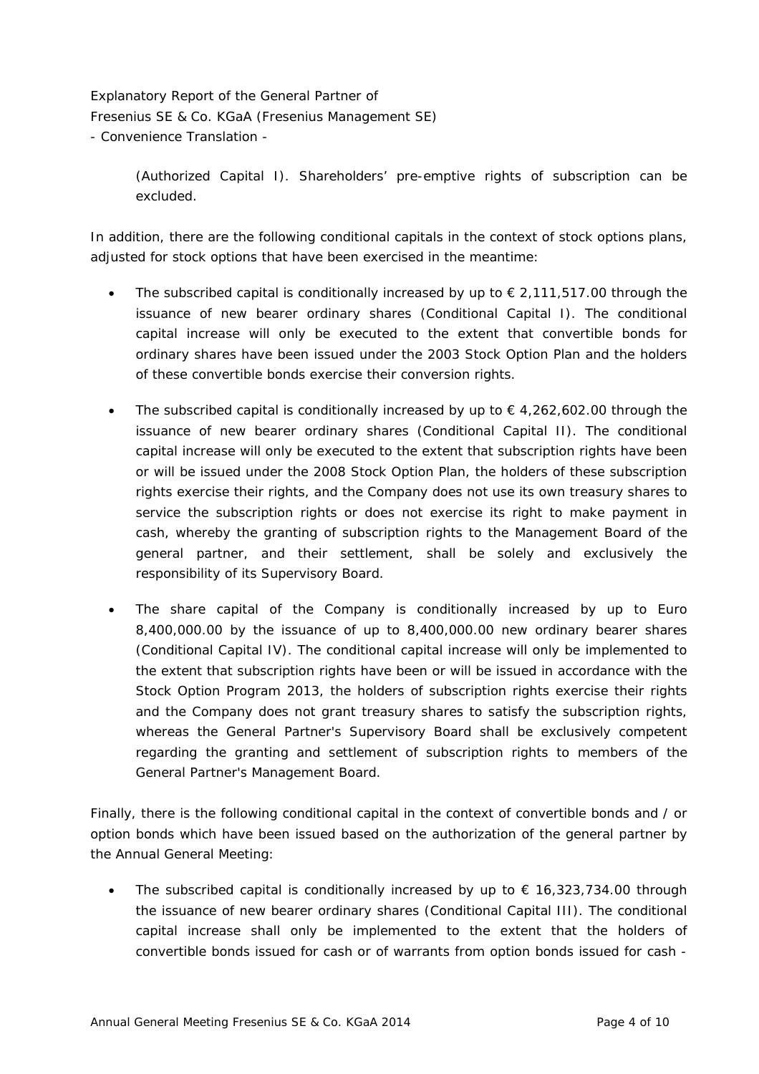> (Authorized Capital I). Shareholders' pre-emptive rights of subscription can be excluded.

In addition, there are the following conditional capitals in the context of stock options plans, adjusted for stock options that have been exercised in the meantime:

- The subscribed capital is conditionally increased by up to  $\epsilon$  2,111,517.00 through the issuance of new bearer ordinary shares (Conditional Capital I). The conditional capital increase will only be executed to the extent that convertible bonds for ordinary shares have been issued under the 2003 Stock Option Plan and the holders of these convertible bonds exercise their conversion rights.
- The subscribed capital is conditionally increased by up to  $\epsilon$  4,262,602.00 through the issuance of new bearer ordinary shares (Conditional Capital II). The conditional capital increase will only be executed to the extent that subscription rights have been or will be issued under the 2008 Stock Option Plan, the holders of these subscription rights exercise their rights, and the Company does not use its own treasury shares to service the subscription rights or does not exercise its right to make payment in cash, whereby the granting of subscription rights to the Management Board of the general partner, and their settlement, shall be solely and exclusively the responsibility of its Supervisory Board.
- The share capital of the Company is conditionally increased by up to Euro 8,400,000.00 by the issuance of up to 8,400,000.00 new ordinary bearer shares (Conditional Capital IV). The conditional capital increase will only be implemented to the extent that subscription rights have been or will be issued in accordance with the Stock Option Program 2013, the holders of subscription rights exercise their rights and the Company does not grant treasury shares to satisfy the subscription rights, whereas the General Partner's Supervisory Board shall be exclusively competent regarding the granting and settlement of subscription rights to members of the General Partner's Management Board.

Finally, there is the following conditional capital in the context of convertible bonds and / or option bonds which have been issued based on the authorization of the general partner by the Annual General Meeting:

The subscribed capital is conditionally increased by up to  $\epsilon$  16,323,734.00 through the issuance of new bearer ordinary shares (Conditional Capital III). The conditional capital increase shall only be implemented to the extent that the holders of convertible bonds issued for cash or of warrants from option bonds issued for cash -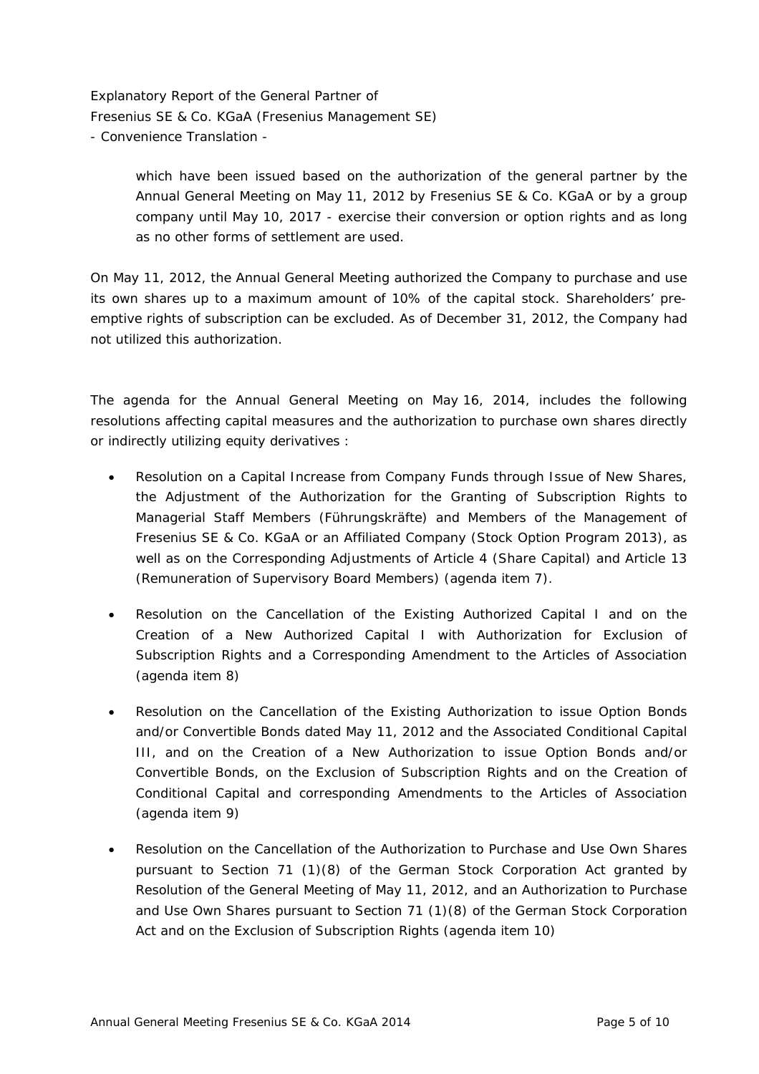> which have been issued based on the authorization of the general partner by the Annual General Meeting on May 11, 2012 by Fresenius SE & Co. KGaA or by a group company until May 10, 2017 - exercise their conversion or option rights and as long as no other forms of settlement are used.

On May 11, 2012, the Annual General Meeting authorized the Company to purchase and use its own shares up to a maximum amount of 10% of the capital stock. Shareholders' preemptive rights of subscription can be excluded. As of December 31, 2012, the Company had not utilized this authorization.

The agenda for the Annual General Meeting on May 16, 2014, includes the following resolutions affecting capital measures and the authorization to purchase own shares directly or indirectly utilizing equity derivatives :

- Resolution on a Capital Increase from Company Funds through Issue of New Shares, the Adjustment of the Authorization for the Granting of Subscription Rights to Managerial Staff Members (Führungskräfte) and Members of the Management of Fresenius SE & Co. KGaA or an Affiliated Company (Stock Option Program 2013), as well as on the Corresponding Adjustments of Article 4 (Share Capital) and Article 13 (Remuneration of Supervisory Board Members) (agenda item 7).
- Resolution on the Cancellation of the Existing Authorized Capital I and on the Creation of a New Authorized Capital I with Authorization for Exclusion of Subscription Rights and a Corresponding Amendment to the Articles of Association (agenda item 8)
- Resolution on the Cancellation of the Existing Authorization to issue Option Bonds and/or Convertible Bonds dated May 11, 2012 and the Associated Conditional Capital III, and on the Creation of a New Authorization to issue Option Bonds and/or Convertible Bonds, on the Exclusion of Subscription Rights and on the Creation of Conditional Capital and corresponding Amendments to the Articles of Association (agenda item 9)
- Resolution on the Cancellation of the Authorization to Purchase and Use Own Shares pursuant to Section 71 (1)(8) of the German Stock Corporation Act granted by Resolution of the General Meeting of May 11, 2012, and an Authorization to Purchase and Use Own Shares pursuant to Section 71 (1)(8) of the German Stock Corporation Act and on the Exclusion of Subscription Rights (agenda item 10)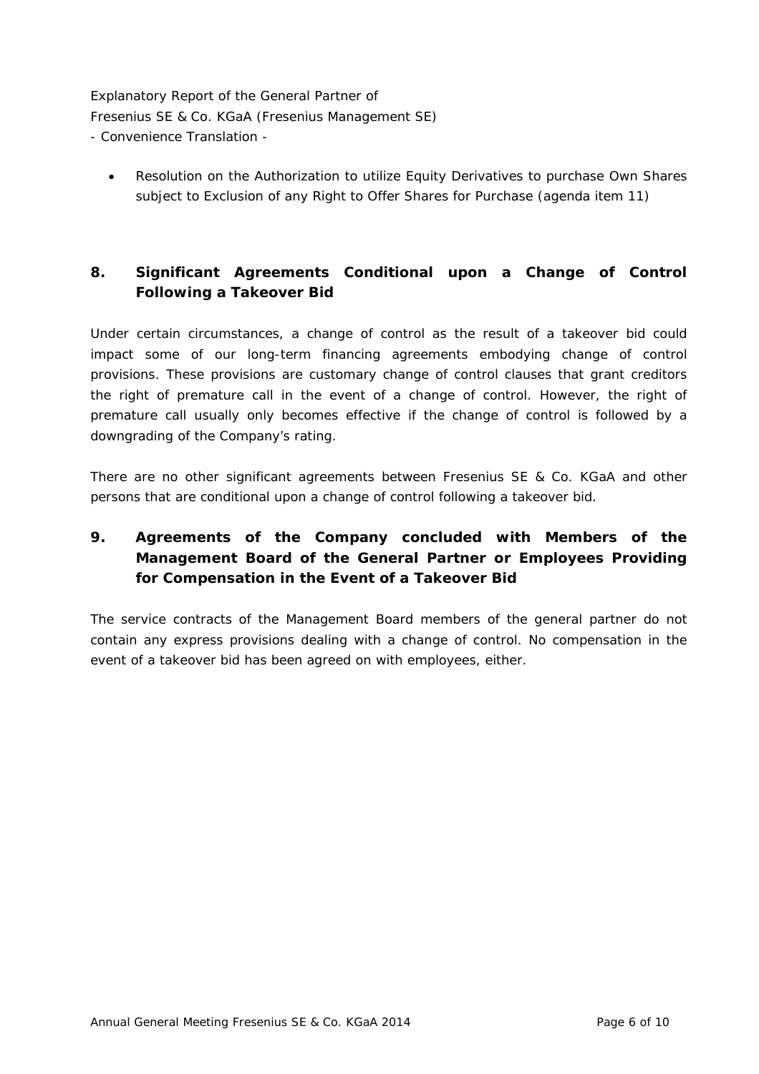Resolution on the Authorization to utilize Equity Derivatives to purchase Own Shares subject to Exclusion of any Right to Offer Shares for Purchase (agenda item 11)

## **8. Significant Agreements Conditional upon a Change of Control Following a Takeover Bid**

Under certain circumstances, a change of control as the result of a takeover bid could impact some of our long-term financing agreements embodying change of control provisions. These provisions are customary change of control clauses that grant creditors the right of premature call in the event of a change of control. However, the right of premature call usually only becomes effective if the change of control is followed by a downgrading of the Company's rating.

There are no other significant agreements between Fresenius SE & Co. KGaA and other persons that are conditional upon a change of control following a takeover bid.

# **9. Agreements of the Company concluded with Members of the Management Board of the General Partner or Employees Providing for Compensation in the Event of a Takeover Bid**

The service contracts of the Management Board members of the general partner do not contain any express provisions dealing with a change of control. No compensation in the event of a takeover bid has been agreed on with employees, either.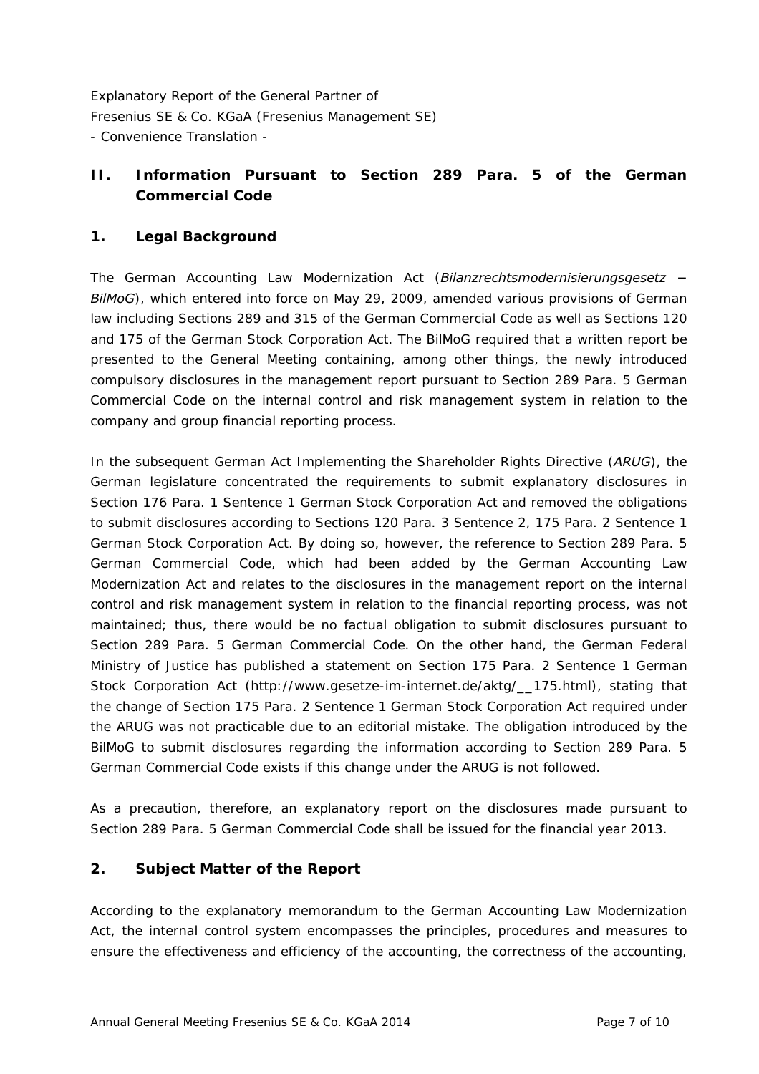## **II. Information Pursuant to Section 289 Para. 5 of the German Commercial Code**

## **1. Legal Background**

The German Accounting Law Modernization Act (*Bilanzrechtsmodernisierungsgesetz − BilMoG*), which entered into force on May 29, 2009, amended various provisions of German law including Sections 289 and 315 of the German Commercial Code as well as Sections 120 and 175 of the German Stock Corporation Act. The BilMoG required that a written report be presented to the General Meeting containing, among other things, the newly introduced compulsory disclosures in the management report pursuant to Section 289 Para. 5 German Commercial Code on the internal control and risk management system in relation to the company and group financial reporting process.

In the subsequent German Act Implementing the Shareholder Rights Directive (*ARUG*), the German legislature concentrated the requirements to submit explanatory disclosures in Section 176 Para. 1 Sentence 1 German Stock Corporation Act and removed the obligations to submit disclosures according to Sections 120 Para. 3 Sentence 2, 175 Para. 2 Sentence 1 German Stock Corporation Act. By doing so, however, the reference to Section 289 Para. 5 German Commercial Code, which had been added by the German Accounting Law Modernization Act and relates to the disclosures in the management report on the internal control and risk management system in relation to the financial reporting process, was not maintained; thus, there would be no factual obligation to submit disclosures pursuant to Section 289 Para. 5 German Commercial Code. On the other hand, the German Federal Ministry of Justice has published a statement on Section 175 Para. 2 Sentence 1 German Stock Corporation Act (http://www.gesetze-im-internet.de/aktg/\_\_175.html), stating that the change of Section 175 Para. 2 Sentence 1 German Stock Corporation Act required under the ARUG was not practicable due to an editorial mistake. The obligation introduced by the BilMoG to submit disclosures regarding the information according to Section 289 Para. 5 German Commercial Code exists if this change under the ARUG is not followed.

As a precaution, therefore, an explanatory report on the disclosures made pursuant to Section 289 Para. 5 German Commercial Code shall be issued for the financial year 2013.

### **2. Subject Matter of the Report**

According to the explanatory memorandum to the German Accounting Law Modernization Act, the internal control system encompasses the principles, procedures and measures to ensure the effectiveness and efficiency of the accounting, the correctness of the accounting,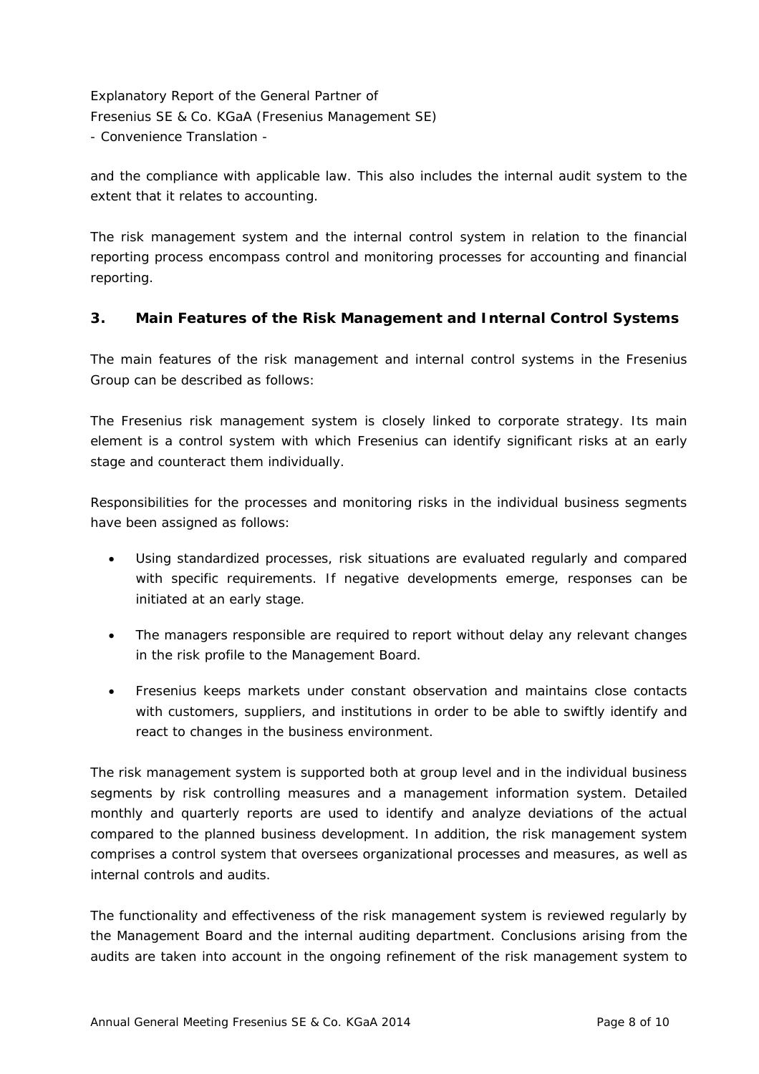and the compliance with applicable law. This also includes the internal audit system to the extent that it relates to accounting.

The risk management system and the internal control system in relation to the financial reporting process encompass control and monitoring processes for accounting and financial reporting.

### **3. Main Features of the Risk Management and Internal Control Systems**

The main features of the risk management and internal control systems in the Fresenius Group can be described as follows:

The Fresenius risk management system is closely linked to corporate strategy. Its main element is a control system with which Fresenius can identify significant risks at an early stage and counteract them individually.

Responsibilities for the processes and monitoring risks in the individual business segments have been assigned as follows:

- Using standardized processes, risk situations are evaluated regularly and compared with specific requirements. If negative developments emerge, responses can be initiated at an early stage.
- The managers responsible are required to report without delay any relevant changes in the risk profile to the Management Board.
- Fresenius keeps markets under constant observation and maintains close contacts with customers, suppliers, and institutions in order to be able to swiftly identify and react to changes in the business environment.

The risk management system is supported both at group level and in the individual business segments by risk controlling measures and a management information system. Detailed monthly and quarterly reports are used to identify and analyze deviations of the actual compared to the planned business development. In addition, the risk management system comprises a control system that oversees organizational processes and measures, as well as internal controls and audits.

The functionality and effectiveness of the risk management system is reviewed regularly by the Management Board and the internal auditing department. Conclusions arising from the audits are taken into account in the ongoing refinement of the risk management system to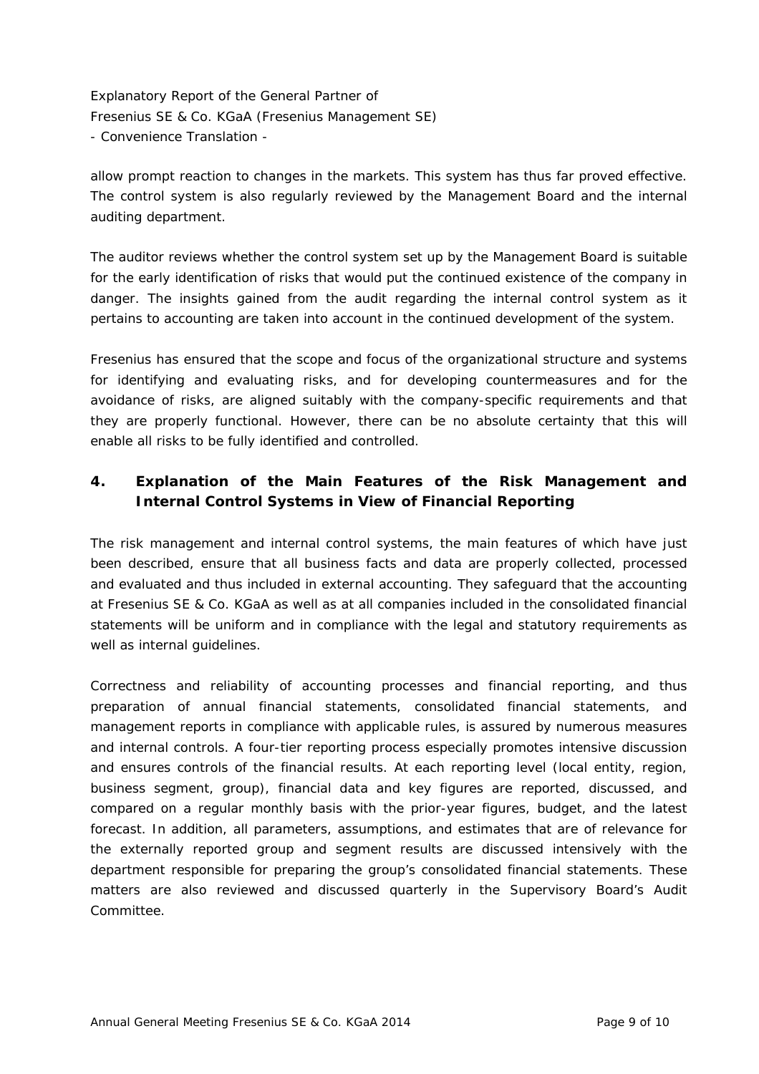allow prompt reaction to changes in the markets. This system has thus far proved effective. The control system is also regularly reviewed by the Management Board and the internal auditing department.

The auditor reviews whether the control system set up by the Management Board is suitable for the early identification of risks that would put the continued existence of the company in danger. The insights gained from the audit regarding the internal control system as it pertains to accounting are taken into account in the continued development of the system.

Fresenius has ensured that the scope and focus of the organizational structure and systems for identifying and evaluating risks, and for developing countermeasures and for the avoidance of risks, are aligned suitably with the company-specific requirements and that they are properly functional. However, there can be no absolute certainty that this will enable all risks to be fully identified and controlled.

# **4. Explanation of the Main Features of the Risk Management and Internal Control Systems in View of Financial Reporting**

The risk management and internal control systems, the main features of which have just been described, ensure that all business facts and data are properly collected, processed and evaluated and thus included in external accounting. They safeguard that the accounting at Fresenius SE & Co. KGaA as well as at all companies included in the consolidated financial statements will be uniform and in compliance with the legal and statutory requirements as well as internal quidelines.

Correctness and reliability of accounting processes and financial reporting, and thus preparation of annual financial statements, consolidated financial statements, and management reports in compliance with applicable rules, is assured by numerous measures and internal controls. A four-tier reporting process especially promotes intensive discussion and ensures controls of the financial results. At each reporting level (local entity, region, business segment, group), financial data and key figures are reported, discussed, and compared on a regular monthly basis with the prior-year figures, budget, and the latest forecast. In addition, all parameters, assumptions, and estimates that are of relevance for the externally reported group and segment results are discussed intensively with the department responsible for preparing the group's consolidated financial statements. These matters are also reviewed and discussed quarterly in the Supervisory Board's Audit Committee.